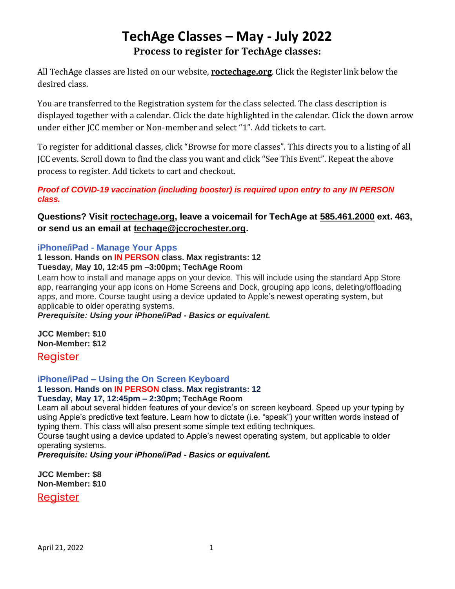### **TechAge Classes – May - July 2022 Process to register for TechAge classes:**

All TechAge classes are listed on our website, **[roctechage.org](https://r20.rs6.net/tn.jsp?f=001vGyAs94aXZHPg2EnWEnvEnW6Ym_n5MwRvlDQbpkfVJ3L66XzyG7C6f7BUb5TEsx7ldwzdsbGPWurbV0SkVwqaHZ3dxf77z2tNHKjqP9JLO5hjkV7y9DV1GaiNJTjBMxmIIF7wIBm36aD1O6oZzCBfQ==&c=hsgJs_XOoKCW1Dg3qXgJ1zUWm6XElD0ayiEnW7fRMZ9pPiCLTwYYFw==&ch=LUbobprazn6ArsRkYGUfUvORPK_5Rcm1ug2GcrpAzFPUSPuU7th16g==)**. Click the Register link below the desired class.

You are transferred to the Registration system for the class selected. The class description is displayed together with a calendar. Click the date highlighted in the calendar. Click the down arrow under either JCC member or Non-member and select "1". Add tickets to cart.

To register for additional classes, click "Browse for more classes". This directs you to a listing of all JCC events. Scroll down to find the class you want and click "See This Event". Repeat the above process to register. Add tickets to cart and checkout.

*Proof of COVID-19 vaccination (including booster) is required upon entry to any IN PERSON class.* 

### **Questions? Visit [roctechage.org,](https://r20.rs6.net/tn.jsp?f=001vGyAs94aXZHPg2EnWEnvEnW6Ym_n5MwRvlDQbpkfVJ3L66XzyG7C6f7BUb5TEsx7ldwzdsbGPWurbV0SkVwqaHZ3dxf77z2tNHKjqP9JLO5hjkV7y9DV1GaiNJTjBMxmIIF7wIBm36aD1O6oZzCBfQ==&c=hsgJs_XOoKCW1Dg3qXgJ1zUWm6XElD0ayiEnW7fRMZ9pPiCLTwYYFw==&ch=LUbobprazn6ArsRkYGUfUvORPK_5Rcm1ug2GcrpAzFPUSPuU7th16g==) leave a voicemail for TechAge at [585.461.2000](https://mail.google.com/mail/u/0/#m_6506467937869465009_) ext. 463, or send us an email at [techage@jccrochester.org.](mailto:techage@jccrochester.org)**

### **iPhone/iPad - Manage Your Apps**

**1 lesson. Hands on IN PERSON class. Max registrants: 12 Tuesday, May 10, 12:45 pm –3:00pm; TechAge Room**

Learn how to install and manage apps on your device. This will include using the standard App Store app, rearranging your app icons on Home Screens and Dock, grouping app icons, deleting/offloading apps, and more. Course taught using a device updated to Apple's newest operating system, but applicable to older operating systems.

*Prerequisite: Using your iPhone/iPad - Basics or equivalent.*

**JCC Member: \$10 Non-Member: \$12**

**[Register](https://ci.ovationtix.com/35684/production/1036824)** 

**iPhone/iPad – Using the On Screen Keyboard**

#### **1 lesson. Hands on IN PERSON class. Max registrants: 12 Tuesday, May 17, 12:45pm – 2:30pm; TechAge Room**

Learn all about several hidden features of your device's on screen keyboard. Speed up your typing by using Apple's predictive text feature. Learn how to dictate (i.e. "speak") your written words instead of typing them. This class will also present some simple text editing techniques.

Course taught using a device updated to Apple's newest operating system, but applicable to older operating systems.

*Prerequisite: Using your iPhone/iPad - Basics or equivalent.*

**JCC Member: \$8 Non-Member: \$10** [Register](https://ci.ovationtix.com/35684/production/1040340)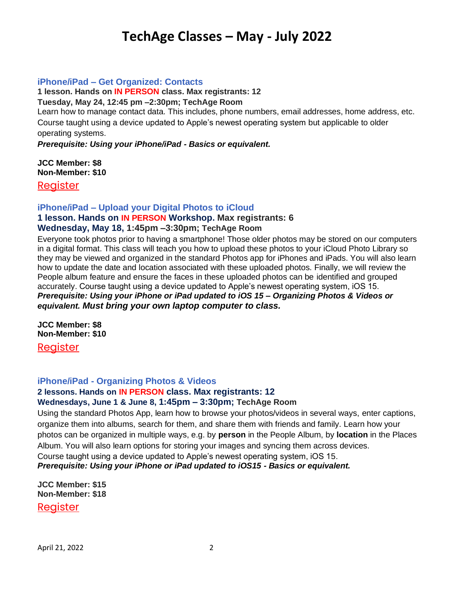### **iPhone/iPad – Get Organized: Contacts**

**1 lesson. Hands on IN PERSON class. Max registrants: 12**

**Tuesday, May 24, 12:45 pm –2:30pm; TechAge Room**

Learn how to manage contact data. This includes, phone numbers, email addresses, home address, etc. Course taught using a device updated to Apple's newest operating system but applicable to older operating systems.

*Prerequisite: Using your iPhone/iPad - Basics or equivalent.*

**JCC Member: \$8 Non-Member: \$10**

**[Register](https://ci.ovationtix.com/35684/production/1036871)** 

#### **iPhone/iPad – Upload your Digital Photos to iCloud**

### **1 lesson. Hands on IN PERSON Workshop. Max registrants: 6 Wednesday, May 18, 1:45pm –3:30pm; TechAge Room**

Everyone took photos prior to having a smartphone! Those older photos may be stored on our computers in a digital format. This class will teach you how to upload these photos to your iCloud Photo Library so they may be viewed and organized in the standard Photos app for iPhones and iPads. You will also learn how to update the date and location associated with these uploaded photos. Finally, we will review the People album feature and ensure the faces in these uploaded photos can be identified and grouped accurately. Course taught using a device updated to Apple's newest operating system, iOS 15. *Prerequisite: Using your iPhone or iPad updated to iOS 15 – Organizing Photos & Videos or equivalent. Must bring your own laptop computer to class.*

**JCC Member: \$8 Non-Member: \$10**

**[Register](https://ci.ovationtix.com/35684/production/1122227)** 

### **iPhone/iPad - Organizing Photos & Videos 2 lessons. Hands on IN PERSON class. Max registrants: 12 Wednesdays, June 1 & June 8, 1:45pm – 3:30pm; TechAge Room**

Using the standard Photos App, learn how to browse your photos/videos in several ways, enter captions, organize them into albums, search for them, and share them with friends and family. Learn how your photos can be organized in multiple ways, e.g. by **person** in the People Album, by **location** in the Places Album. You will also learn options for storing your images and syncing them across devices.

Course taught using a device updated to Apple's newest operating system, iOS 15.

*Prerequisite: Using your iPhone or iPad updated to iOS15 - Basics or equivalent.*

**JCC Member: \$15 Non-Member: \$18**

[Register](https://ci.ovationtix.com/35684/production/1036875)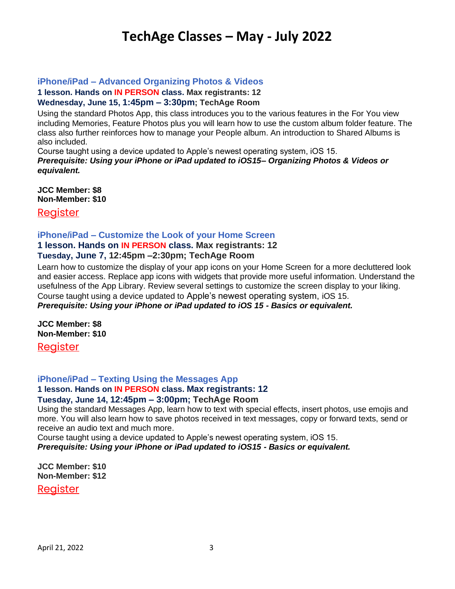### **iPhone/iPad – Advanced Organizing Photos & Videos**

### **1 lesson. Hands on IN PERSON class. Max registrants: 12**

#### **Wednesday, June 15, 1:45pm – 3:30pm; TechAge Room**

Using the standard Photos App, this class introduces you to the various features in the For You view including Memories, Feature Photos plus you will learn how to use the custom album folder feature. The class also further reinforces how to manage your People album. An introduction to Shared Albums is also included.

Course taught using a device updated to Apple's newest operating system, iOS 15. *Prerequisite: Using your iPhone or iPad updated to iOS15– Organizing Photos & Videos or equivalent.*

**JCC Member: \$8 Non-Member: \$10**

[Register](https://ci.ovationtix.com/35684/production/1047847)

### **iPhone/iPad – Customize the Look of your Home Screen**

#### **1 lesson. Hands on IN PERSON class. Max registrants: 12 Tuesday, June 7, 12:45pm –2:30pm; TechAge Room**

Learn how to customize the display of your app icons on your Home Screen for a more decluttered look and easier access. Replace app icons with widgets that provide more useful information. Understand the usefulness of the App Library. Review several settings to customize the screen display to your liking. Course taught using a device updated to Apple's newest operating system, iOS 15. *Prerequisite: Using your iPhone or iPad updated to iOS 15 - Basics or equivalent.*

**JCC Member: \$8 Non-Member: \$10**

**[Register](https://ci.ovationtix.com/35684/production/1036874)** 

### **iPhone/iPad – Texting Using the Messages App**

## **1 lesson. Hands on IN PERSON class. Max registrants: 12**

### **Tuesday, June 14, 12:45pm – 3:00pm; TechAge Room**

Using the standard Messages App, learn how to text with special effects, insert photos, use emojis and more. You will also learn how to save photos received in text messages, copy or forward texts, send or receive an audio text and much more.

Course taught using a device updated to Apple's newest operating system, iOS 15.

*Prerequisite: Using your iPhone or iPad updated to iOS15 - Basics or equivalent.*

**JCC Member: \$10 Non-Member: \$12**

**[Register](https://ci.ovationtix.com/35684/production/1040336)**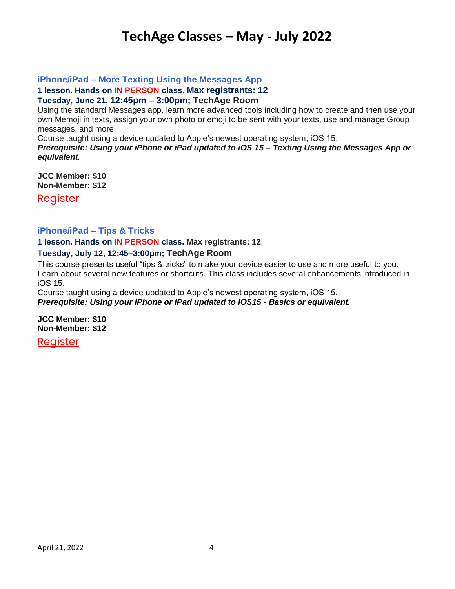### **iPhone/iPad – More Texting Using the Messages App**

### **1 lesson. Hands on IN PERSON class. Max registrants: 12**

#### **Tuesday, June 21, 12:45pm – 3:00pm; TechAge Room**

Using the standard Messages app, learn more advanced tools including how to create and then use your own Memoji in texts, assign your own photo or emoji to be sent with your texts, use and manage Group messages, and more.

Course taught using a device updated to Apple's newest operating system, iOS 15.

*Prerequisite: Using your iPhone or iPad updated to iOS 15 – Texting Using the Messages App or equivalent.*

**JCC Member: \$10 Non-Member: \$12**

[Register](https://ci.ovationtix.com/35684/production/1047848)

### **iPhone/iPad – Tips & Tricks**

### **1 lesson. Hands on IN PERSON class. Max registrants: 12**

#### **Tuesday, July 12, 12:45–3:00pm; TechAge Room**

This course presents useful "tips & tricks" to make your device easier to use and more useful to you. Learn about several new features or shortcuts. This class includes several enhancements introduced in iOS 15.

Course taught using a device updated to Apple's newest operating system, iOS 15. *Prerequisite: Using your iPhone or iPad updated to iOS15 - Basics or equivalent.*

**JCC Member: \$10 Non-Member: \$12**

[Register](https://ci.ovationtix.com/35684/production/1040337)